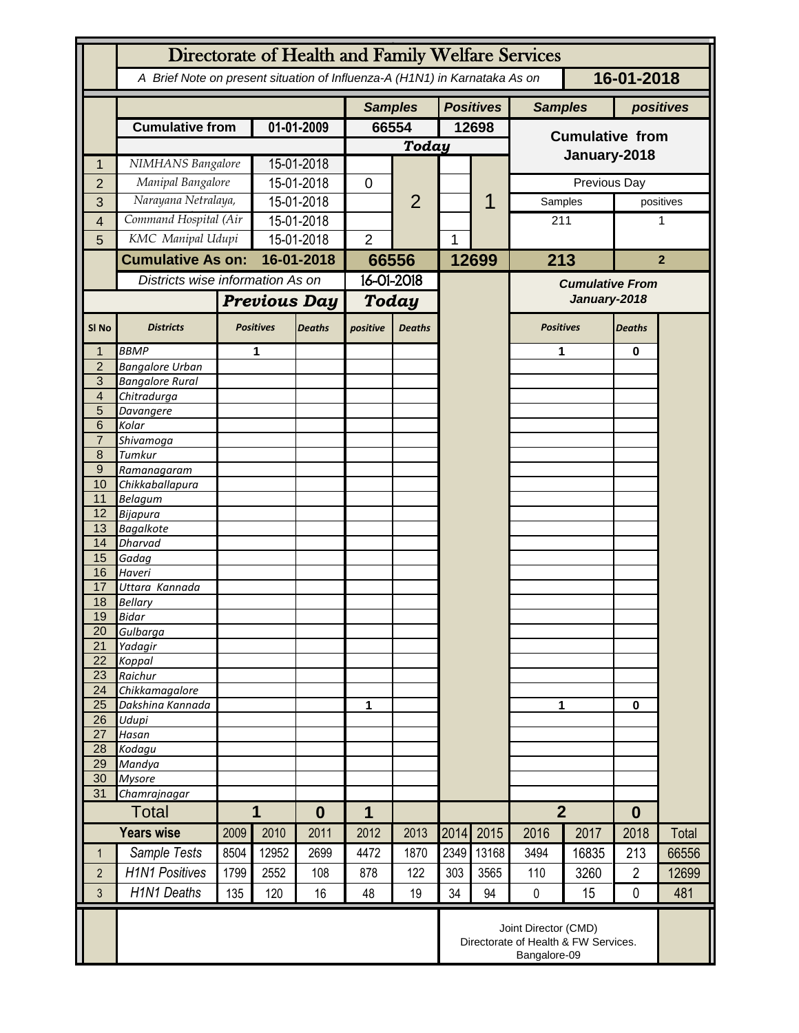|                                  | Directorate of Health and Family Welfare Services                                        |                     |                  |               |                |                |       |                  |                                        |       |                |           |  |
|----------------------------------|------------------------------------------------------------------------------------------|---------------------|------------------|---------------|----------------|----------------|-------|------------------|----------------------------------------|-------|----------------|-----------|--|
|                                  | A Brief Note on present situation of Influenza-A (H1N1) in Karnataka As on<br>16-01-2018 |                     |                  |               |                |                |       |                  |                                        |       |                |           |  |
|                                  |                                                                                          |                     |                  |               | <b>Samples</b> |                |       | <b>Positives</b> | <b>Samples</b>                         |       | positives      |           |  |
|                                  | <b>Cumulative from</b>                                                                   |                     | 01-01-2009       |               | 66554          |                | 12698 |                  | <b>Cumulative from</b><br>January-2018 |       |                |           |  |
|                                  |                                                                                          |                     |                  |               | <b>Today</b>   |                |       |                  |                                        |       |                |           |  |
|                                  |                                                                                          | NIMHANS Bangalore   |                  | 15-01-2018    |                | $\overline{2}$ |       |                  |                                        |       |                |           |  |
| $\overline{2}$                   | Manipal Bangalore                                                                        |                     | 15-01-2018       |               | 0              |                |       |                  | Previous Day                           |       |                |           |  |
| 3                                | Narayana Netralaya,                                                                      |                     | 15-01-2018       |               |                |                |       |                  | Samples                                |       |                | positives |  |
| 4                                | Command Hospital (Air                                                                    |                     | 15-01-2018       |               |                |                |       |                  | 211                                    |       | 1              |           |  |
| 5                                | KMC Manipal Udupi                                                                        |                     | 15-01-2018       |               | $\overline{2}$ |                | 1     |                  |                                        |       |                |           |  |
|                                  | <b>Cumulative As on:</b>                                                                 |                     |                  | 16-01-2018    |                | 66556          |       | 12699            | 213                                    |       | $\overline{2}$ |           |  |
|                                  | Districts wise information As on                                                         |                     |                  |               | 16-01-2018     |                |       |                  | <b>Cumulative From</b>                 |       |                |           |  |
|                                  |                                                                                          |                     |                  |               |                |                |       |                  | January-2018                           |       |                |           |  |
|                                  |                                                                                          | <b>Previous Day</b> |                  |               | Today          |                |       |                  |                                        |       |                |           |  |
| SI <sub>No</sub>                 | <b>Districts</b>                                                                         |                     | <b>Positives</b> | <b>Deaths</b> | positive       | <b>Deaths</b>  |       |                  | <b>Positives</b>                       |       | <b>Deaths</b>  |           |  |
|                                  | <b>BBMP</b>                                                                              |                     | 1                |               |                |                |       |                  | 1                                      |       | 0              |           |  |
| $\overline{2}$                   | <b>Bangalore Urban</b>                                                                   |                     |                  |               |                |                |       |                  |                                        |       |                |           |  |
| $\overline{3}$<br>$\overline{4}$ | <b>Bangalore Rural</b><br>Chitradurga                                                    |                     |                  |               |                |                |       |                  |                                        |       |                |           |  |
| 5                                | Davangere                                                                                |                     |                  |               |                |                |       |                  |                                        |       |                |           |  |
| 6                                | Kolar                                                                                    |                     |                  |               |                |                |       |                  |                                        |       |                |           |  |
| $\overline{7}$                   | Shivamoga                                                                                |                     |                  |               |                |                |       |                  |                                        |       |                |           |  |
| 8                                | Tumkur                                                                                   |                     |                  |               |                |                |       |                  |                                        |       |                |           |  |
| $\overline{9}$<br>10             | Ramanagaram<br>Chikkaballapura                                                           |                     |                  |               |                |                |       |                  |                                        |       |                |           |  |
| 11                               | <b>Belagum</b>                                                                           |                     |                  |               |                |                |       |                  |                                        |       |                |           |  |
| 12                               | <b>Bijapura</b>                                                                          |                     |                  |               |                |                |       |                  |                                        |       |                |           |  |
| 13                               | <b>Bagalkote</b>                                                                         |                     |                  |               |                |                |       |                  |                                        |       |                |           |  |
| 14                               | <b>Dharvad</b>                                                                           |                     |                  |               |                |                |       |                  |                                        |       |                |           |  |
| 15<br>16                         | Gadag<br>Haveri                                                                          |                     |                  |               |                |                |       |                  |                                        |       |                |           |  |
| 17                               | Uttara Kannada                                                                           |                     |                  |               |                |                |       |                  |                                        |       |                |           |  |
| 18                               | <b>Bellary</b>                                                                           |                     |                  |               |                |                |       |                  |                                        |       |                |           |  |
| 19                               | <b>Bidar</b>                                                                             |                     |                  |               |                |                |       |                  |                                        |       |                |           |  |
| 20                               | Gulbarga                                                                                 |                     |                  |               |                |                |       |                  |                                        |       |                |           |  |
| 21<br>22                         | Yadagir<br>Koppal                                                                        |                     |                  |               |                |                |       |                  |                                        |       |                |           |  |
| 23                               | Raichur                                                                                  |                     |                  |               |                |                |       |                  |                                        |       |                |           |  |
| 24                               | Chikkamagalore                                                                           |                     |                  |               |                |                |       |                  |                                        |       |                |           |  |
| 25                               | Dakshina Kannada                                                                         |                     |                  |               | 1              |                |       |                  | 1                                      |       | 0              |           |  |
| 26                               | Udupi                                                                                    |                     |                  |               |                |                |       |                  |                                        |       |                |           |  |
| 27<br>28                         | Hasan<br>Kodagu                                                                          |                     |                  |               |                |                |       |                  |                                        |       |                |           |  |
| 29                               | Mandya                                                                                   |                     |                  |               |                |                |       |                  |                                        |       |                |           |  |
| 30                               | <b>Mysore</b>                                                                            |                     |                  |               |                |                |       |                  |                                        |       |                |           |  |
| 31                               | Chamrajnagar                                                                             |                     |                  |               |                |                |       |                  |                                        |       |                |           |  |
|                                  | Total                                                                                    |                     | 1<br>$\bf{0}$    |               | 1              |                |       |                  | $\overline{2}$                         |       | $\bf{0}$       |           |  |
|                                  | <b>Years wise</b>                                                                        | 2009                | 2010             | 2011          | 2012           | 2013           | 2014  | 2015             | 2016                                   | 2017  | 2018           | Total     |  |
| 1                                | Sample Tests                                                                             | 8504                | 12952            | 2699          | 4472           | 1870           | 2349  | 13168            | 3494                                   | 16835 | 213            | 66556     |  |
| $\overline{2}$                   | <b>H1N1 Positives</b>                                                                    | 1799                | 2552             | 108           | 878            | 122            | 303   | 3565             | 110                                    | 3260  | $\overline{2}$ | 12699     |  |
| 3                                | <b>H1N1 Deaths</b>                                                                       | 135                 | 120              | 16            | 48             | 19             | 34    | 94               | $\pmb{0}$                              | 15    | $\mathbf 0$    | 481       |  |
|                                  | Joint Director (CMD)<br>Directorate of Health & FW Services.<br>Bangalore-09             |                     |                  |               |                |                |       |                  |                                        |       |                |           |  |